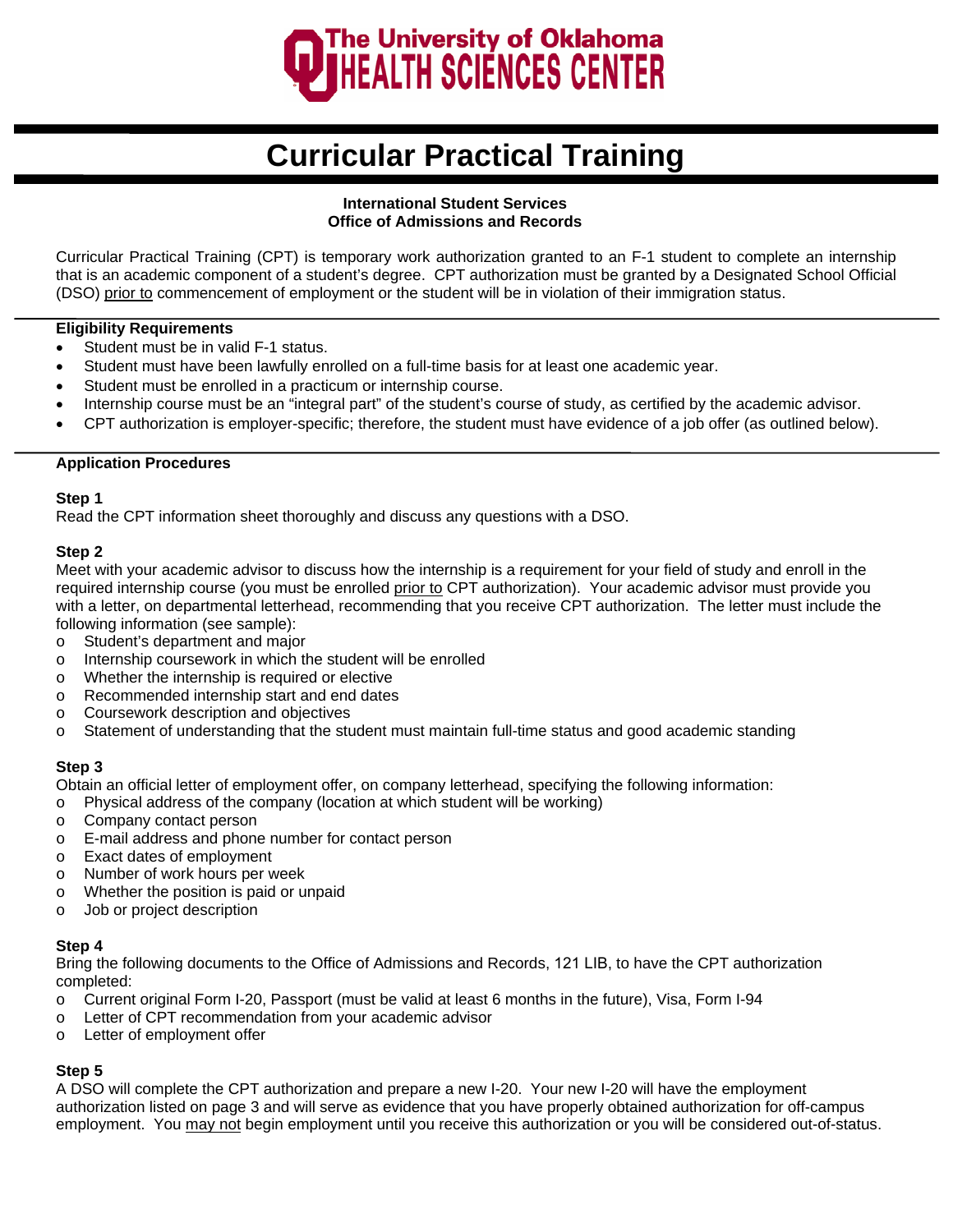

# **Curricular Practical Training**

## **International Student Services Office of Admissions and Records**

Curricular Practical Training (CPT) is temporary work authorization granted to an F-1 student to complete an internship that is an academic component of a student's degree. CPT authorization must be granted by a Designated School Official (DSO) prior to commencement of employment or the student will be in violation of their immigration status.

## **Eligibility Requirements**

- Student must be in valid F-1 status.
- Student must have been lawfully enrolled on a full-time basis for at least one academic year.
- Student must be enrolled in a practicum or internship course.
- Internship course must be an "integral part" of the student's course of study, as certified by the academic advisor.
- CPT authorization is employer-specific; therefore, the student must have evidence of a job offer (as outlined below).

## **Application Procedures**

### **Step 1**

Read the CPT information sheet thoroughly and discuss any questions with a DSO.

## **Step 2**

Meet with your academic advisor to discuss how the internship is a requirement for your field of study and enroll in the required internship course (you must be enrolled prior to CPT authorization). Your academic advisor must provide you with a letter, on departmental letterhead, recommending that you receive CPT authorization. The letter must include the following information (see sample):

- o Student's department and major
- o Internship coursework in which the student will be enrolled
- o Whether the internship is required or elective
- o Recommended internship start and end dates
- o Coursework description and objectives
- o Statement of understanding that the student must maintain full-time status and good academic standing

## **Step 3**

Obtain an official letter of employment offer, on company letterhead, specifying the following information:

- o Physical address of the company (location at which student will be working)
- o Company contact person
- o E-mail address and phone number for contact person
- o Exact dates of employment
- o Number of work hours per week
- o Whether the position is paid or unpaid
- o Job or project description

## **Step 4**

Bring the following documents to the Office of Admissions and Records, 121 LIB, to have the CPT authorization completed:

- o Current original Form I-20, Passport (must be valid at least 6 months in the future), Visa, Form I-94
- o Letter of CPT recommendation from your academic advisor
- o Letter of employment offer

## **Step 5**

A DSO will complete the CPT authorization and prepare a new I-20. Your new I-20 will have the employment authorization listed on page 3 and will serve as evidence that you have properly obtained authorization for off-campus employment. You may not begin employment until you receive this authorization or you will be considered out-of-status.